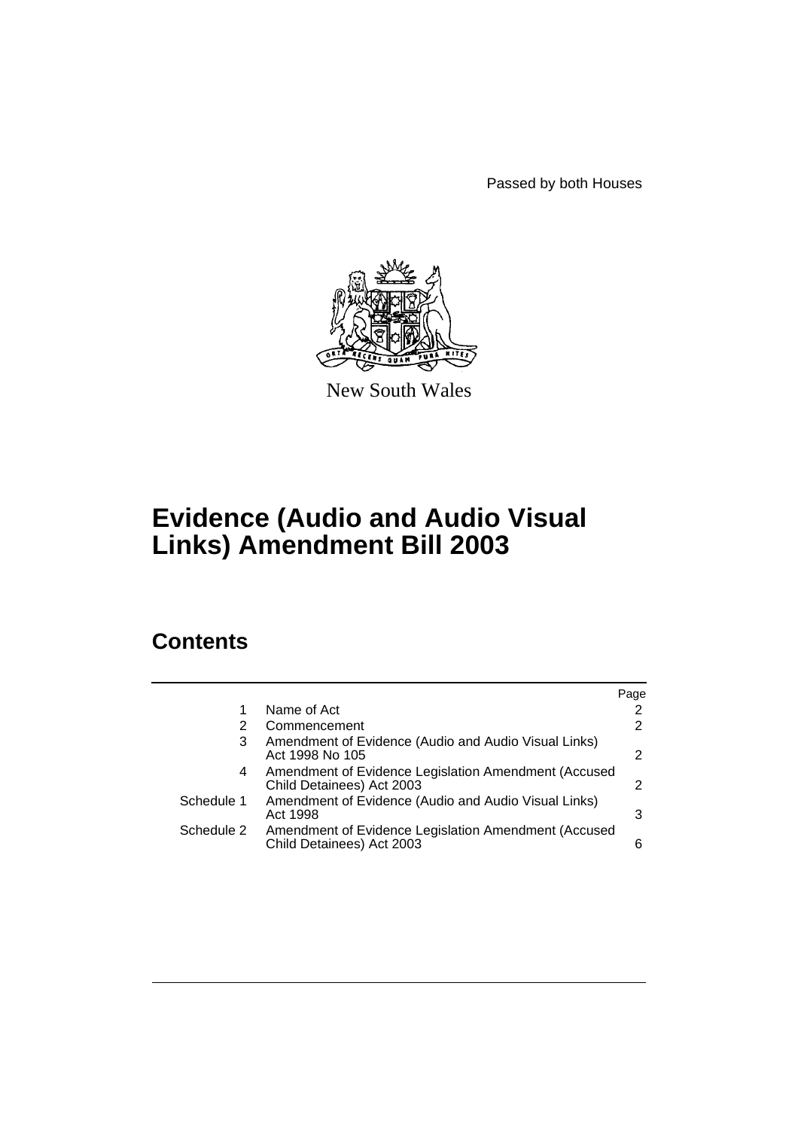Passed by both Houses



New South Wales

# **Evidence (Audio and Audio Visual Links) Amendment Bill 2003**

# **Contents**

|                                                                         | Page                                                                                                         |
|-------------------------------------------------------------------------|--------------------------------------------------------------------------------------------------------------|
| Name of Act                                                             | $\overline{2}$                                                                                               |
| Commencement                                                            | 2                                                                                                            |
| Amendment of Evidence (Audio and Audio Visual Links)<br>Act 1998 No 105 | 2                                                                                                            |
| Child Detainees) Act 2003                                               | 2                                                                                                            |
| Amendment of Evidence (Audio and Audio Visual Links)<br>Act 1998        | 3                                                                                                            |
| Child Detainees) Act 2003                                               | 6                                                                                                            |
|                                                                         | Amendment of Evidence Legislation Amendment (Accused<br>Amendment of Evidence Legislation Amendment (Accused |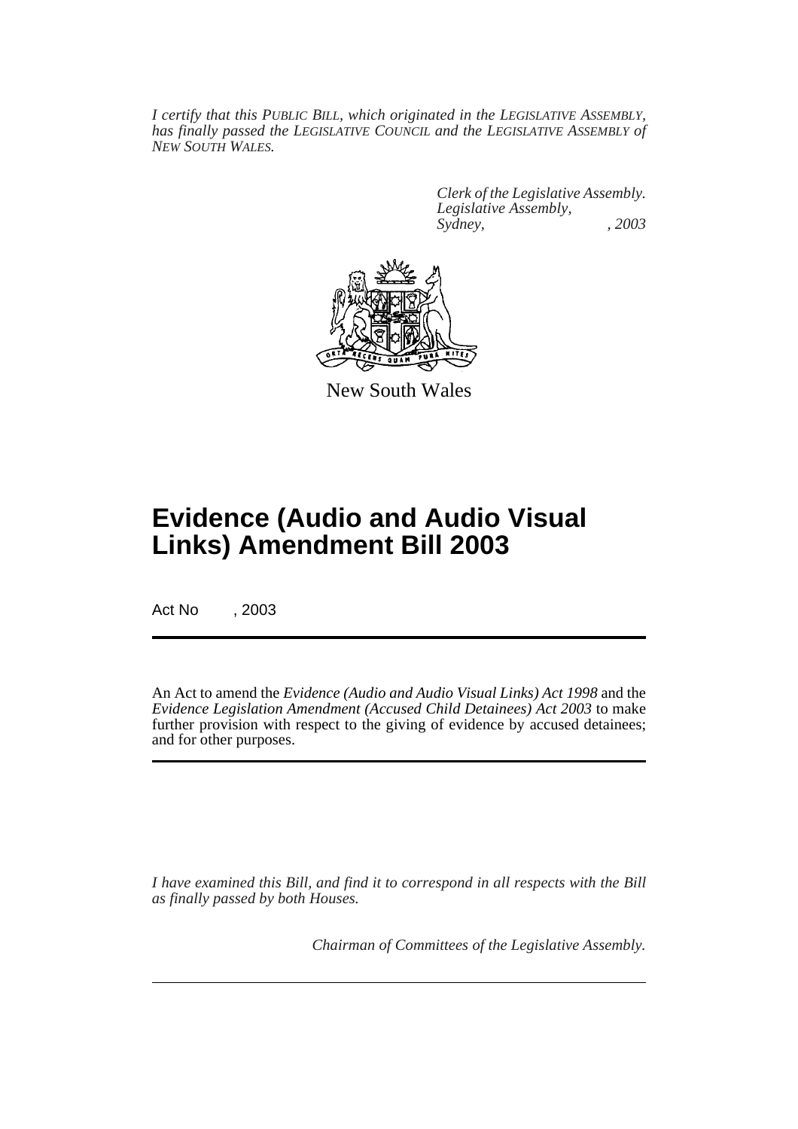*I certify that this PUBLIC BILL, which originated in the LEGISLATIVE ASSEMBLY, has finally passed the LEGISLATIVE COUNCIL and the LEGISLATIVE ASSEMBLY of NEW SOUTH WALES.*

> *Clerk of the Legislative Assembly. Legislative Assembly, Sydney, , 2003*



New South Wales

# **Evidence (Audio and Audio Visual Links) Amendment Bill 2003**

Act No , 2003

An Act to amend the *Evidence (Audio and Audio Visual Links) Act 1998* and the *Evidence Legislation Amendment (Accused Child Detainees) Act 2003* to make further provision with respect to the giving of evidence by accused detainees; and for other purposes.

*I have examined this Bill, and find it to correspond in all respects with the Bill as finally passed by both Houses.*

*Chairman of Committees of the Legislative Assembly.*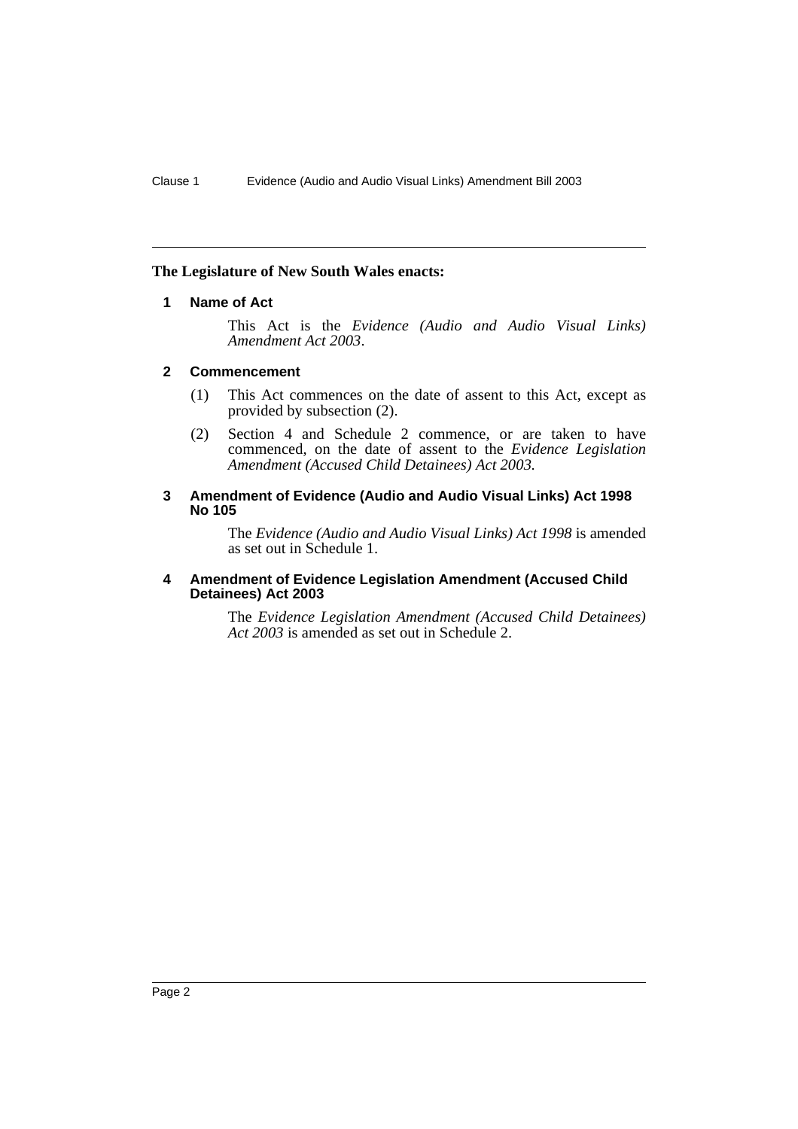# **The Legislature of New South Wales enacts:**

# **1 Name of Act**

This Act is the *Evidence (Audio and Audio Visual Links) Amendment Act 2003*.

# **2 Commencement**

- (1) This Act commences on the date of assent to this Act, except as provided by subsection (2).
- (2) Section 4 and Schedule 2 commence, or are taken to have commenced, on the date of assent to the *Evidence Legislation Amendment (Accused Child Detainees) Act 2003.*

# **3 Amendment of Evidence (Audio and Audio Visual Links) Act 1998 No 105**

The *Evidence (Audio and Audio Visual Links) Act 1998* is amended as set out in Schedule 1.

#### **4 Amendment of Evidence Legislation Amendment (Accused Child Detainees) Act 2003**

The *Evidence Legislation Amendment (Accused Child Detainees) Act 2003* is amended as set out in Schedule 2.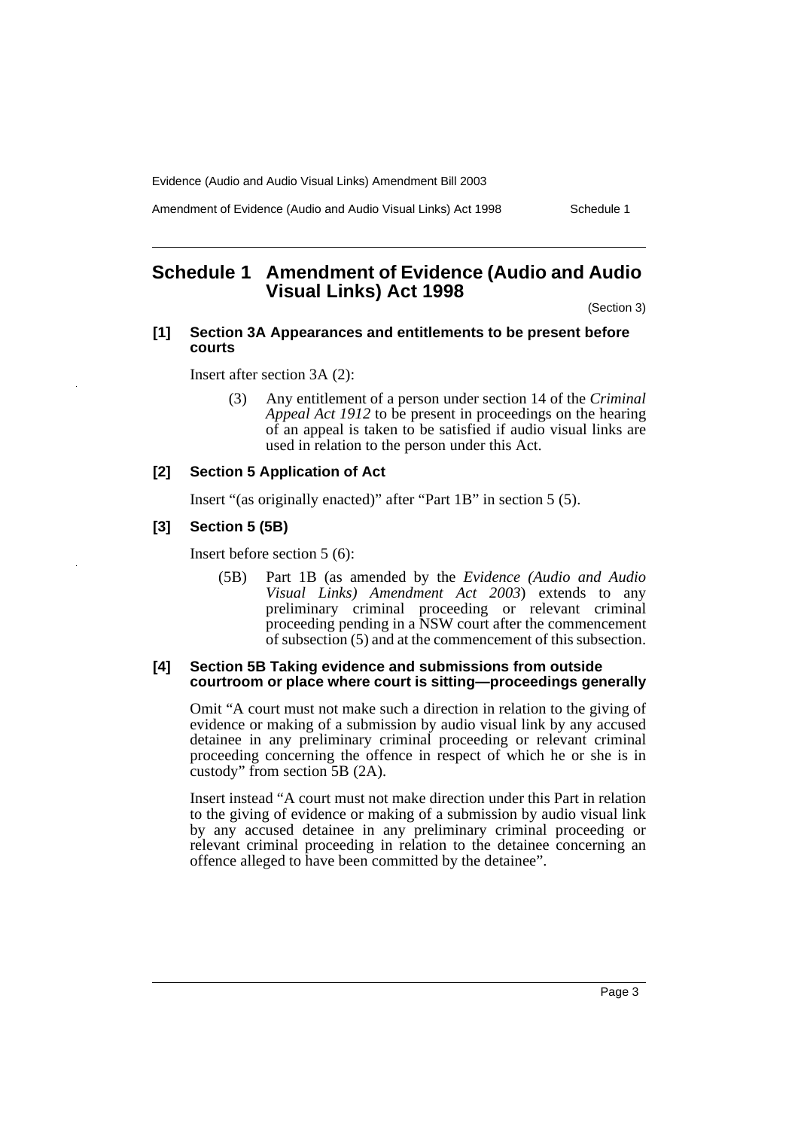Amendment of Evidence (Audio and Audio Visual Links) Act 1998 Schedule 1

# **Schedule 1 Amendment of Evidence (Audio and Audio Visual Links) Act 1998**

(Section 3)

## **[1] Section 3A Appearances and entitlements to be present before courts**

Insert after section 3A (2):

(3) Any entitlement of a person under section 14 of the *Criminal Appeal Act 1912* to be present in proceedings on the hearing of an appeal is taken to be satisfied if audio visual links are used in relation to the person under this Act.

# **[2] Section 5 Application of Act**

Insert "(as originally enacted)" after "Part 1B" in section 5 (5).

#### **[3] Section 5 (5B)**

Insert before section 5 (6):

(5B) Part 1B (as amended by the *Evidence (Audio and Audio Visual Links) Amendment Act 2003*) extends to any preliminary criminal proceeding or relevant criminal proceeding pending in a NSW court after the commencement of subsection (5) and at the commencement of this subsection.

#### **[4] Section 5B Taking evidence and submissions from outside courtroom or place where court is sitting—proceedings generally**

Omit "A court must not make such a direction in relation to the giving of evidence or making of a submission by audio visual link by any accused detainee in any preliminary criminal proceeding or relevant criminal proceeding concerning the offence in respect of which he or she is in custody" from section 5B (2A).

Insert instead "A court must not make direction under this Part in relation to the giving of evidence or making of a submission by audio visual link by any accused detainee in any preliminary criminal proceeding or relevant criminal proceeding in relation to the detainee concerning an offence alleged to have been committed by the detainee".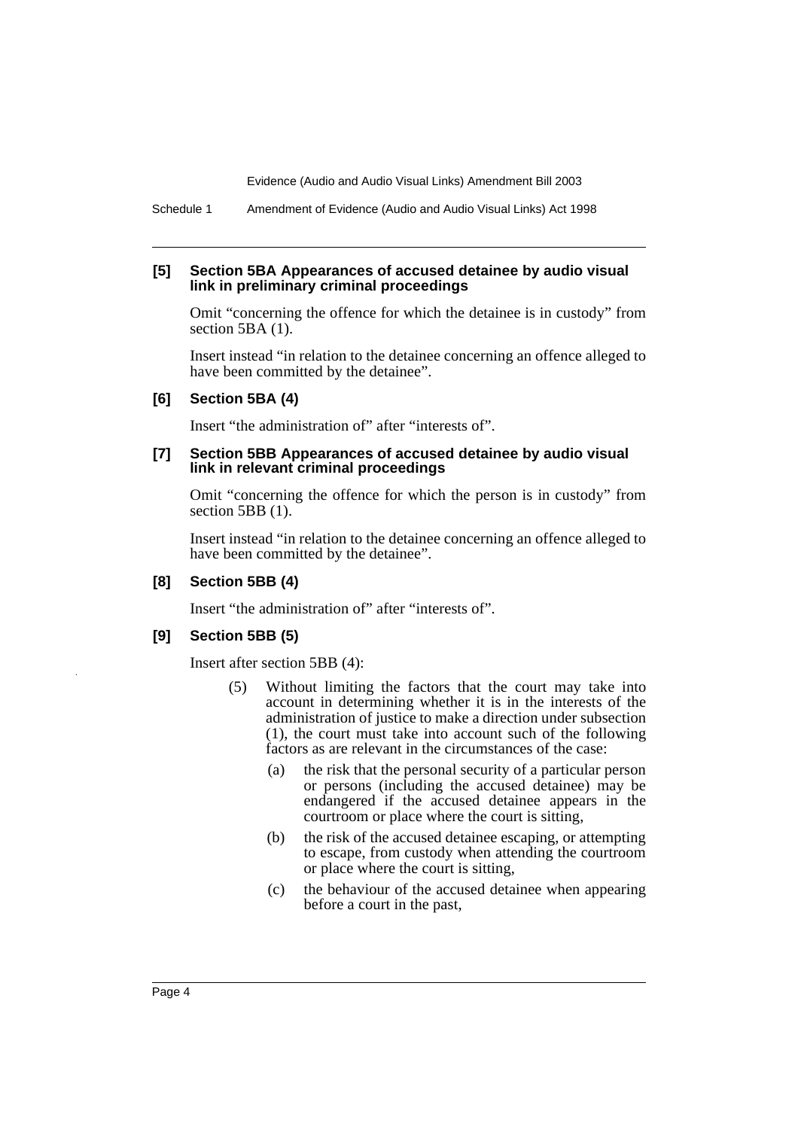Schedule 1 Amendment of Evidence (Audio and Audio Visual Links) Act 1998

#### **[5] Section 5BA Appearances of accused detainee by audio visual link in preliminary criminal proceedings**

Omit "concerning the offence for which the detainee is in custody" from section 5BA  $(1)$ .

Insert instead "in relation to the detainee concerning an offence alleged to have been committed by the detainee".

## **[6] Section 5BA (4)**

Insert "the administration of" after "interests of".

#### **[7] Section 5BB Appearances of accused detainee by audio visual link in relevant criminal proceedings**

Omit "concerning the offence for which the person is in custody" from section 5BB (1).

Insert instead "in relation to the detainee concerning an offence alleged to have been committed by the detainee".

#### **[8] Section 5BB (4)**

Insert "the administration of" after "interests of".

#### **[9] Section 5BB (5)**

Insert after section 5BB (4):

- (5) Without limiting the factors that the court may take into account in determining whether it is in the interests of the administration of justice to make a direction under subsection (1), the court must take into account such of the following factors as are relevant in the circumstances of the case:
	- (a) the risk that the personal security of a particular person or persons (including the accused detainee) may be endangered if the accused detainee appears in the courtroom or place where the court is sitting,
	- (b) the risk of the accused detainee escaping, or attempting to escape, from custody when attending the courtroom or place where the court is sitting,
	- (c) the behaviour of the accused detainee when appearing before a court in the past,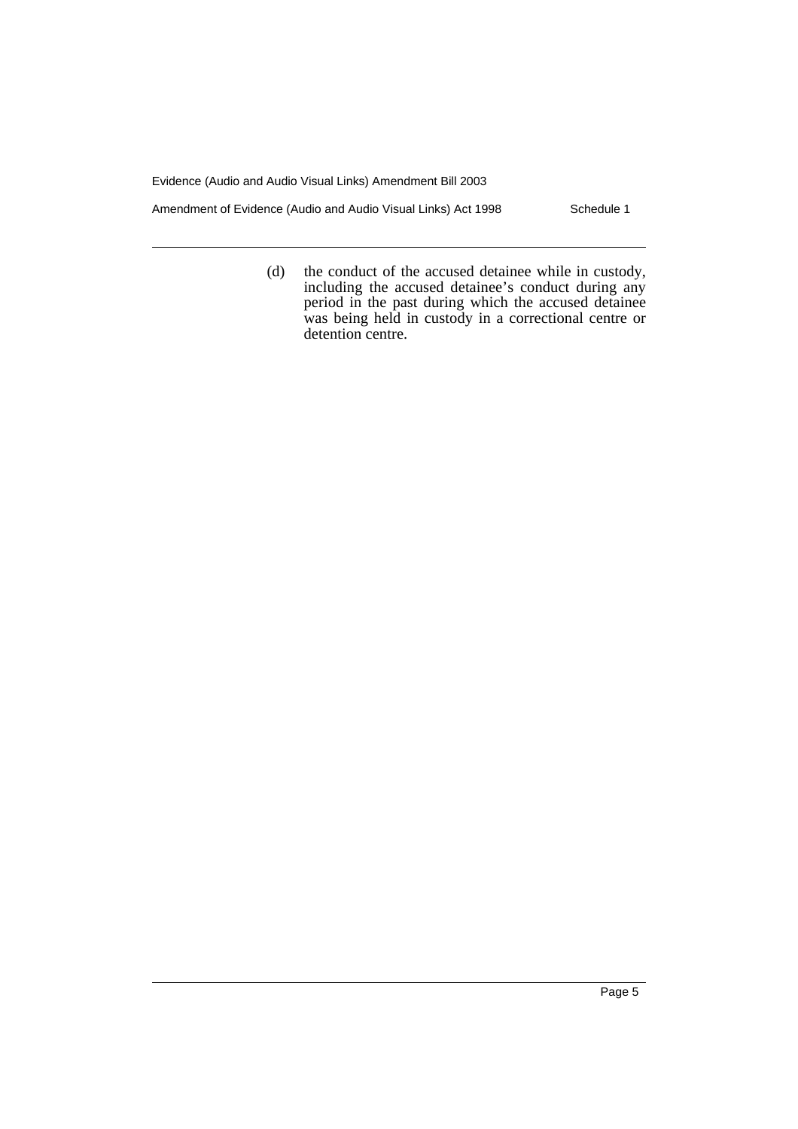Amendment of Evidence (Audio and Audio Visual Links) Act 1998 Schedule 1

(d) the conduct of the accused detainee while in custody, including the accused detainee's conduct during any period in the past during which the accused detainee was being held in custody in a correctional centre or detention centre.